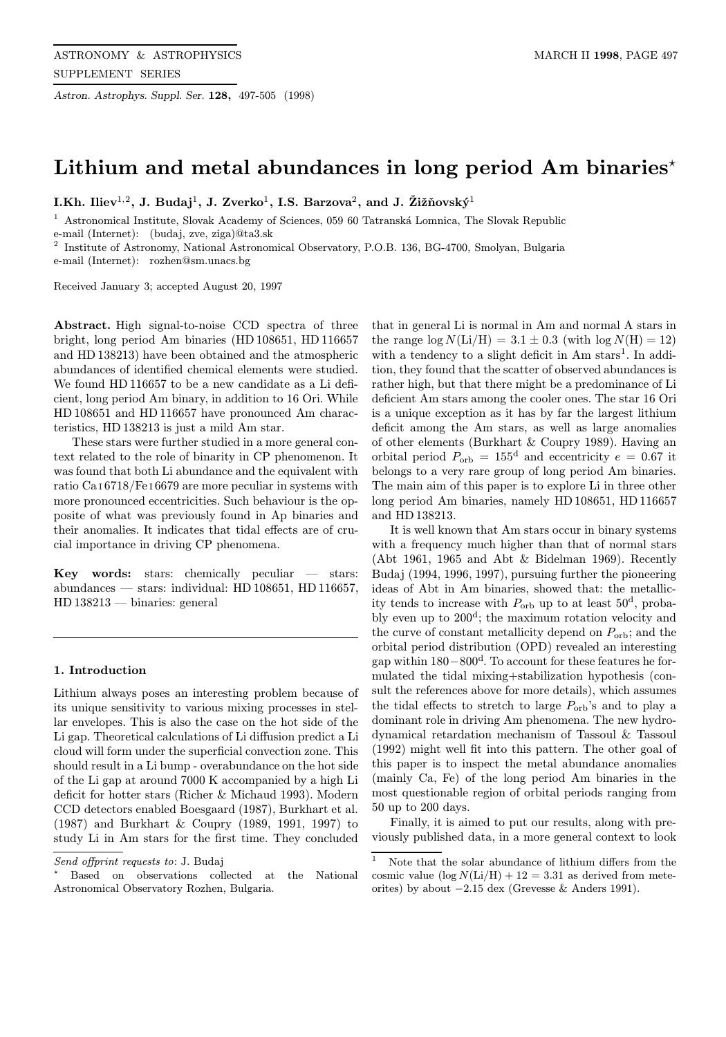Astron. Astrophys. Suppl. Ser. 128, 497-505 (1998)

# Lithium and metal abundances in long period Am binaries<sup> $\star$ </sup>

I.Kh. Iliev<sup>1,2</sup>, J. Budaj<sup>1</sup>, J. Zverko<sup>1</sup>, I.S. Barzova<sup>2</sup>, and J. Žižňovský<sup>1</sup>

Astronomical Institute, Slovak Academy of Sciences, 059 60 Tatranská Lomnica, The Slovak Republic e-mail (Internet): (budaj, zve, ziga)@ta3.sk

<sup>2</sup> Institute of Astronomy, National Astronomical Observatory, P.O.B. 136, BG-4700, Smolyan, Bulgaria e-mail (Internet): rozhen@sm.unacs.bg

Received January 3; accepted August 20, 1997

Abstract. High signal-to-noise CCD spectra of three bright, long period Am binaries (HD 108651, HD 116657 and HD 138213) have been obtained and the atmospheric abundances of identified chemical elements were studied. We found HD 116657 to be a new candidate as a Li deficient, long period Am binary, in addition to 16 Ori. While HD 108651 and HD 116657 have pronounced Am characteristics, HD 138213 is just a mild Am star.

These stars were further studied in a more general context related to the role of binarity in CP phenomenon. It was found that both Li abundance and the equivalent with ratio Ca <sup>I</sup> 6718/Fe <sup>I</sup> 6679 are more peculiar in systems with more pronounced eccentricities. Such behaviour is the opposite of what was previously found in Ap binaries and their anomalies. It indicates that tidal effects are of crucial importance in driving CP phenomena.

Key words: stars: chemically peculiar — stars: abundances — stars: individual: HD 108651, HD 116657, HD 138213 — binaries: general

## 1. Introduction

Lithium always poses an interesting problem because of its unique sensitivity to various mixing processes in stellar envelopes. This is also the case on the hot side of the Li gap. Theoretical calculations of Li diffusion predict a Li cloud will form under the superficial convection zone. This should result in a Li bump - overabundance on the hot side of the Li gap at around 7000 K accompanied by a high Li deficit for hotter stars (Richer & Michaud 1993). Modern CCD detectors enabled Boesgaard (1987), Burkhart et al. (1987) and Burkhart & Coupry (1989, 1991, 1997) to study Li in Am stars for the first time. They concluded

? Based on observations collected at the National Astronomical Observatory Rozhen, Bulgaria.

that in general Li is normal in Am and normal A stars in the range  $\log N(Li/H) = 3.1 \pm 0.3$  (with  $\log N(H) = 12$ ) with a tendency to a slight deficit in  $Am stars<sup>1</sup>$ . In addition, they found that the scatter of observed abundances is rather high, but that there might be a predominance of Li deficient Am stars among the cooler ones. The star 16 Ori is a unique exception as it has by far the largest lithium deficit among the Am stars, as well as large anomalies of other elements (Burkhart & Coupry 1989). Having an orbital period  $P_{\text{orb}} = 155^d$  and eccentricity  $e = 0.67$  it belongs to a very rare group of long period Am binaries. The main aim of this paper is to explore Li in three other long period Am binaries, namely HD 108651, HD 116657 and HD 138213.

It is well known that Am stars occur in binary systems with a frequency much higher than that of normal stars (Abt 1961, 1965 and Abt & Bidelman 1969). Recently Budaj (1994, 1996, 1997), pursuing further the pioneering ideas of Abt in Am binaries, showed that: the metallicity tends to increase with  $P_{\text{orb}}$  up to at least  $50^d$ , probably even up to 200<sup>d</sup>; the maximum rotation velocity and the curve of constant metallicity depend on  $P_{\text{orb}}$ ; and the orbital period distribution (OPD) revealed an interesting gap within 180−800<sup>d</sup>. To account for these features he formulated the tidal mixing+stabilization hypothesis (consult the references above for more details), which assumes the tidal effects to stretch to large  $P_{\text{orb}}$ 's and to play a dominant role in driving Am phenomena. The new hydrodynamical retardation mechanism of Tassoul & Tassoul (1992) might well fit into this pattern. The other goal of this paper is to inspect the metal abundance anomalies (mainly Ca, Fe) of the long period Am binaries in the most questionable region of orbital periods ranging from 50 up to 200 days.

Finally, it is aimed to put our results, along with previously published data, in a more general context to look

Send offprint requests to: J. Budaj

<sup>&</sup>lt;sup>1</sup> Note that the solar abundance of lithium differs from the cosmic value  $(\log N(Li/H) + 12 = 3.31$  as derived from meteorites) by about −2.15 dex (Grevesse & Anders 1991).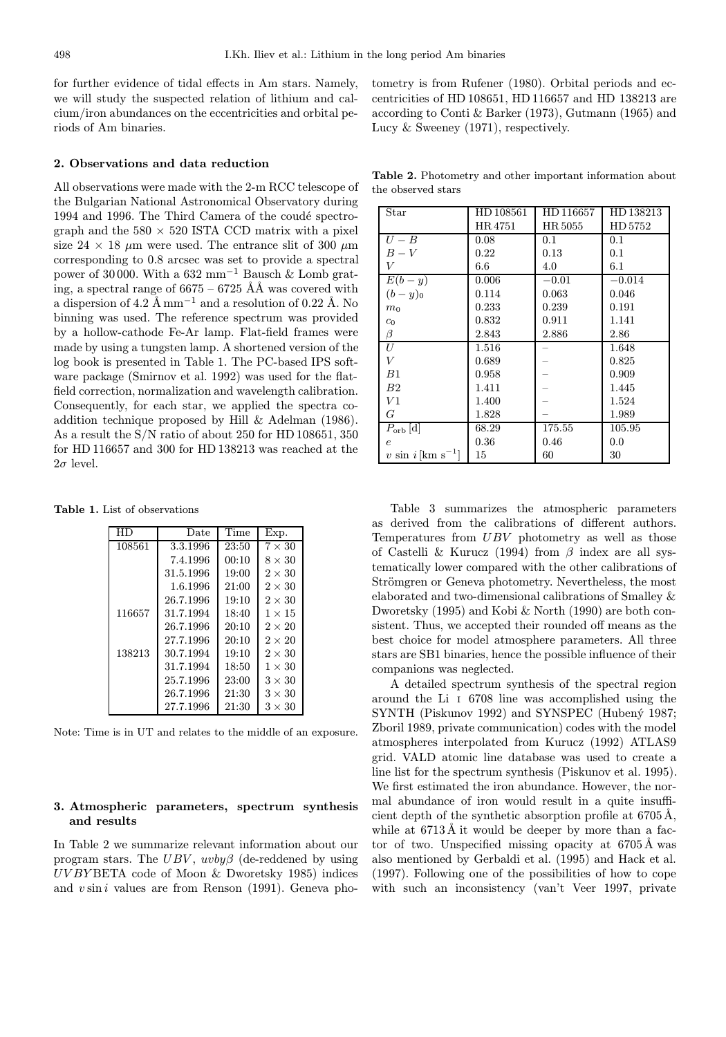for further evidence of tidal effects in Am stars. Namely, we will study the suspected relation of lithium and calcium/iron abundances on the eccentricities and orbital periods of Am binaries.

# 2. Observations and data reduction

All observations were made with the 2-m RCC telescope of the Bulgarian National Astronomical Observatory during 1994 and 1996. The Third Camera of the coudé spectrograph and the  $580 \times 520$  ISTA CCD matrix with a pixel size 24  $\times$  18  $\mu$ m were used. The entrance slit of 300  $\mu$ m corresponding to 0.8 arcsec was set to provide a spectral power of 30 000. With a  $632 \text{ mm}^{-1}$  Bausch & Lomb grating, a spectral range of  $6675 - 6725$  ÅÅ was covered with a dispersion of 4.2 Å mm<sup>-1</sup> and a resolution of 0.22 Å. No binning was used. The reference spectrum was provided by a hollow-cathode Fe-Ar lamp. Flat-field frames were made by using a tungsten lamp. A shortened version of the log book is presented in Table 1. The PC-based IPS software package (Smirnov et al. 1992) was used for the flatfield correction, normalization and wavelength calibration. Consequently, for each star, we applied the spectra coaddition technique proposed by Hill & Adelman (1986). As a result the S/N ratio of about 250 for HD 108651, 350 for HD 116657 and 300 for HD 138213 was reached at the  $2\sigma$  level.

Table 1. List of observations

| НD     | Date      | Time  | Exp.          |
|--------|-----------|-------|---------------|
| 108561 | 3.3.1996  | 23:50 | $7 \times 30$ |
|        | 7.4.1996  | 00:10 | $8 \times 30$ |
|        | 31.5.1996 | 19:00 | $2 \times 30$ |
|        | 1.6.1996  | 21:00 | $2 \times 30$ |
|        | 26.7.1996 | 19:10 | $2 \times 30$ |
| 116657 | 31.7.1994 | 18:40 | $1 \times 15$ |
|        | 26.7.1996 | 20:10 | $2 \times 20$ |
|        | 27.7.1996 | 20:10 | $2 \times 20$ |
| 138213 | 30.7.1994 | 19:10 | $2 \times 30$ |
|        | 31.7.1994 | 18:50 | $1 \times 30$ |
|        | 25.7.1996 | 23:00 | $3 \times 30$ |
|        | 26.7.1996 | 21:30 | $3 \times 30$ |
|        | 27.7.1996 | 21:30 | $3 \times 30$ |

Note: Time is in UT and relates to the middle of an exposure.

# 3. Atmospheric parameters, spectrum synthesis and results

In Table 2 we summarize relevant information about our program stars. The  $UBV$ ,  $uvby\beta$  (de-reddened by using UV BY BETA code of Moon & Dworetsky 1985) indices and  $v \sin i$  values are from Renson (1991). Geneva photometry is from Rufener (1980). Orbital periods and eccentricities of HD 108651, HD 116657 and HD 138213 are according to Conti & Barker (1973), Gutmann (1965) and Lucy & Sweeney (1971), respectively.

Table 2. Photometry and other important information about the observed stars

| Star                                  | HD 108561 | HD 116657 | HD 138213 |
|---------------------------------------|-----------|-----------|-----------|
|                                       | HR4751    | HR 5055   | HD 5752   |
| $U-B$                                 | 0.08      | 0.1       | 0.1       |
| $B-V$                                 | 0.22      | 0.13      | 0.1       |
| V                                     | 6.6       | 4.0       | 6.1       |
| $E(b-y)$                              | 0.006     | $-0.01$   | $-0.014$  |
| $(b-y)_0$                             | 0.114     | 0.063     | 0.046     |
| m <sub>0</sub>                        | 0.233     | 0.239     | 0.191     |
| $c_0$                                 | 0.832     | 0.911     | 1.141     |
| β                                     | 2.843     | 2.886     | 2.86      |
| U                                     | 1.516     |           | 1.648     |
| V                                     | 0.689     |           | 0.825     |
| B1                                    | 0.958     |           | 0.909     |
| B <sub>2</sub>                        | 1.411     |           | 1.445     |
| $_{V1}$                               | 1.400     |           | 1.524     |
| G                                     | 1.828     |           | 1.989     |
| $P_{\text{orb}}\left[\text{d}\right]$ | 68.29     | 175.55    | 105.95    |
| $\epsilon$                            | 0.36      | 0.46      | 0.0       |
| v sin $i$ [km s <sup>-1</sup> ]       | 15        | 60        | 30        |

Table 3 summarizes the atmospheric parameters as derived from the calibrations of different authors. Temperatures from UBV photometry as well as those of Castelli & Kurucz (1994) from  $\beta$  index are all systematically lower compared with the other calibrations of Strömgren or Geneva photometry. Nevertheless, the most elaborated and two-dimensional calibrations of Smalley & Dworetsky (1995) and Kobi & North (1990) are both consistent. Thus, we accepted their rounded off means as the best choice for model atmosphere parameters. All three stars are SB1 binaries, hence the possible influence of their companions was neglected.

A detailed spectrum synthesis of the spectral region around the Li <sup>I</sup> 6708 line was accomplished using the SYNTH (Piskunov 1992) and SYNSPEC (Hubený 1987; Zboril 1989, private communication) codes with the model atmospheres interpolated from Kurucz (1992) ATLAS9 grid. VALD atomic line database was used to create a line list for the spectrum synthesis (Piskunov et al. 1995). We first estimated the iron abundance. However, the normal abundance of iron would result in a quite insufficient depth of the synthetic absorption profile at  $6705\text{\AA}$ , while at  $6713\text{\AA}$  it would be deeper by more than a factor of two. Unspecified missing opacity at  $6705 \text{\AA}$  was also mentioned by Gerbaldi et al. (1995) and Hack et al. (1997). Following one of the possibilities of how to cope with such an inconsistency (van't Veer 1997, private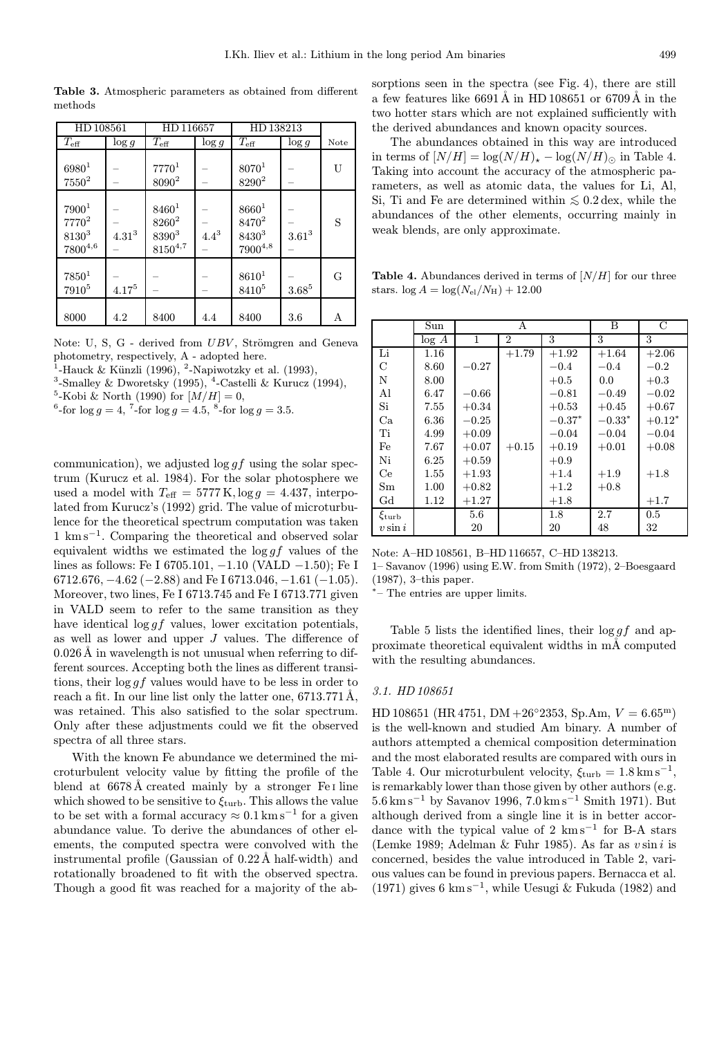Table 3. Atmospheric parameters as obtained from different methods

| HD 108561                                                     |            | HD 116657                                                       |           | HD 138213                                                   |            |      |
|---------------------------------------------------------------|------------|-----------------------------------------------------------------|-----------|-------------------------------------------------------------|------------|------|
| $T_{\rm eff}$                                                 | $\log g$   | $T_{\rm eff}$                                                   | $\log g$  | $T_{\rm eff}$                                               | $\log g$   | Note |
| $6980^{1}$<br>$7550^2$                                        |            | $7770^{1}$<br>8090 <sup>2</sup>                                 |           | $8070^{1}$<br>8290 <sup>2</sup>                             |            | U    |
| 7900 <sup>1</sup><br>$7770^2$<br>$8130^{3}$<br>$7800^{4,6}\,$ | $4.31^3$   | $8460^{1}$<br>8260 <sup>2</sup><br>$8390^{3}$<br>$8150^{4,7}\,$ | $4.4^{3}$ | $8660^{1}$<br>8470 <sup>2</sup><br>$8430^3$<br>$7900^{4,8}$ | $3.61^3\,$ | S    |
| $7850^1$<br>7910 <sup>5</sup>                                 | $4.17^{5}$ |                                                                 |           | $8610^{1}$<br>8410 <sup>5</sup>                             | $3.68^{5}$ | G    |
| 8000                                                          | 4.2        | 8400                                                            | 4.4       | 8400                                                        | 3.6        | А    |

Note: U, S, G - derived from UBV, Strömgren and Geneva photometry, respectively, A - adopted here.

<sup>1</sup>-Hauck & Künzli (1996), <sup>2</sup>-Napiwotzky et al. (1993),

<sup>3</sup>-Smalley & Dworetsky (1995), <sup>4</sup>-Castelli & Kurucz (1994),

<sup>5</sup>-Kobi & North (1990) for  $[M/H] = 0$ ,

<sup>6</sup>-for  $\log g = 4$ , <sup>7</sup>-for  $\log g = 4.5$ , <sup>8</sup>-for  $\log g = 3.5$ .

communication), we adjusted  $\log gf$  using the solar spectrum (Kurucz et al. 1984). For the solar photosphere we used a model with  $T_{\text{eff}} = 5777 \text{ K}$ ,  $\log g = 4.437$ , interpolated from Kurucz's (1992) grid. The value of microturbulence for the theoretical spectrum computation was taken 1 km s<sup>−</sup><sup>1</sup>. Comparing the theoretical and observed solar equivalent widths we estimated the  $\log gf$  values of the lines as follows: Fe I 6705.101, −1.10 (VALD −1.50); Fe I  $6712.676, -4.62 (-2.88)$  and Fe I 6713.046,  $-1.61 (-1.05)$ . Moreover, two lines, Fe I 6713.745 and Fe I 6713.771 given in VALD seem to refer to the same transition as they have identical  $\log gf$  values, lower excitation potentials, as well as lower and upper J values. The difference of  $0.026\text{ Å}$  in wavelength is not unusual when referring to different sources. Accepting both the lines as different transitions, their  $\log gf$  values would have to be less in order to reach a fit. In our line list only the latter one,  $6713.771\text{\AA}$ , was retained. This also satisfied to the solar spectrum. Only after these adjustments could we fit the observed spectra of all three stars.

With the known Fe abundance we determined the microturbulent velocity value by fitting the profile of the blend at  $6678\text{\AA}$  created mainly by a stronger Fe I line which showed to be sensitive to  $\xi_{\rm turb}$ . This allows the value to be set with a formal accuracy  $\approx 0.1 \,\mathrm{km \,s^{-1}}$  for a given abundance value. To derive the abundances of other elements, the computed spectra were convolved with the instrumental profile (Gaussian of  $0.22 \text{\AA}$  half-width) and rotationally broadened to fit with the observed spectra. Though a good fit was reached for a majority of the absorptions seen in the spectra (see Fig. 4), there are still a few features like  $6691 \text{\AA}$  in HD 108651 or 6709  $\text{\AA}$  in the two hotter stars which are not explained sufficiently with the derived abundances and known opacity sources.

The abundances obtained in this way are introduced in terms of  $[N/H] = \log(N/H)_\star - \log(N/H)_\odot$  in Table 4. Taking into account the accuracy of the atmospheric parameters, as well as atomic data, the values for Li, Al, Si, Ti and Fe are determined within  $\leq 0.2 \,\text{dex}$ , while the abundances of the other elements, occurring mainly in weak blends, are only approximate.

Table 4. Abundances derived in terms of  $[N/H]$  for our three stars.  $\log A = \log(N_{\rm el}/N_{\rm H}) + 12.00$ 

|              | Sun   |         | А       |          | B        | C        |
|--------------|-------|---------|---------|----------|----------|----------|
|              | log A | 1       | 2       | 3        | 3        | 3        |
| Li           | 1.16  |         | $+1.79$ | $+1.92$  | $+1.64$  | $+2.06$  |
| С            | 8.60  | $-0.27$ |         | $-0.4$   | $-0.4$   | $-0.2$   |
| N            | 8.00  |         |         | $+0.5$   | 0.0      | $+0.3$   |
| Al           | 6.47  | $-0.66$ |         | $-0.81$  | $-0.49$  | $-0.02$  |
| Si           | 7.55  | $+0.34$ |         | $+0.53$  | $+0.45$  | $+0.67$  |
| Ca           | 6.36  | $-0.25$ |         | $-0.37*$ | $-0.33*$ | $+0.12*$ |
| Ti           | 4.99  | $+0.09$ |         | $-0.04$  | $-0.04$  | $-0.04$  |
| Fe           | 7.67  | $+0.07$ | $+0.15$ | $+0.19$  | $+0.01$  | $+0.08$  |
| Ni           | 6.25  | $+0.59$ |         | $+0.9$   |          |          |
| Ce           | 1.55  | $+1.93$ |         | $+1.4$   | $+1.9$   | $+1.8$   |
| Sm           | 1.00  | $+0.82$ |         | $+1.2$   | $+0.8$   |          |
| $_{\rm{Gd}}$ | 1.12  | $+1.27$ |         | $+1.8$   |          | $+1.7$   |
| $\xi$ turb   |       | 5.6     |         | 1.8      | 2.7      | 0.5      |
| $v \sin i$   |       | 20      |         | 20       | 48       | 32       |

Note: A–HD 108561, B–HD 116657, C–HD 138213. 1– Savanov (1996) using E.W. from Smith (1972), 2–Boesgaard (1987), 3–this paper.

<sup>∗</sup>– The entries are upper limits.

Table 5 lists the identified lines, their  $\log gf$  and approximate theoretical equivalent widths in mÅ computed with the resulting abundances.

## 3.1. HD 108651

HD 108651 (HR 4751, DM +26°2353, Sp.Am,  $V = 6.65^{\text{m}}$ ) is the well-known and studied Am binary. A number of authors attempted a chemical composition determination and the most elaborated results are compared with ours in Table 4. Our microturbulent velocity,  $\xi_{\text{turb}} = 1.8 \text{ km s}^{-1}$ , is remarkably lower than those given by other authors (e.g. 5.6 km s<sup>−</sup><sup>1</sup> by Savanov 1996, 7.0 km s<sup>−</sup><sup>1</sup> Smith 1971). But although derived from a single line it is in better accordance with the typical value of 2 km s<sup>−</sup><sup>1</sup> for B-A stars (Lemke 1989; Adelman & Fuhr 1985). As far as  $v \sin i$  is concerned, besides the value introduced in Table 2, various values can be found in previous papers. Bernacca et al. (1971) gives 6 km s<sup>-1</sup>, while Uesugi & Fukuda (1982) and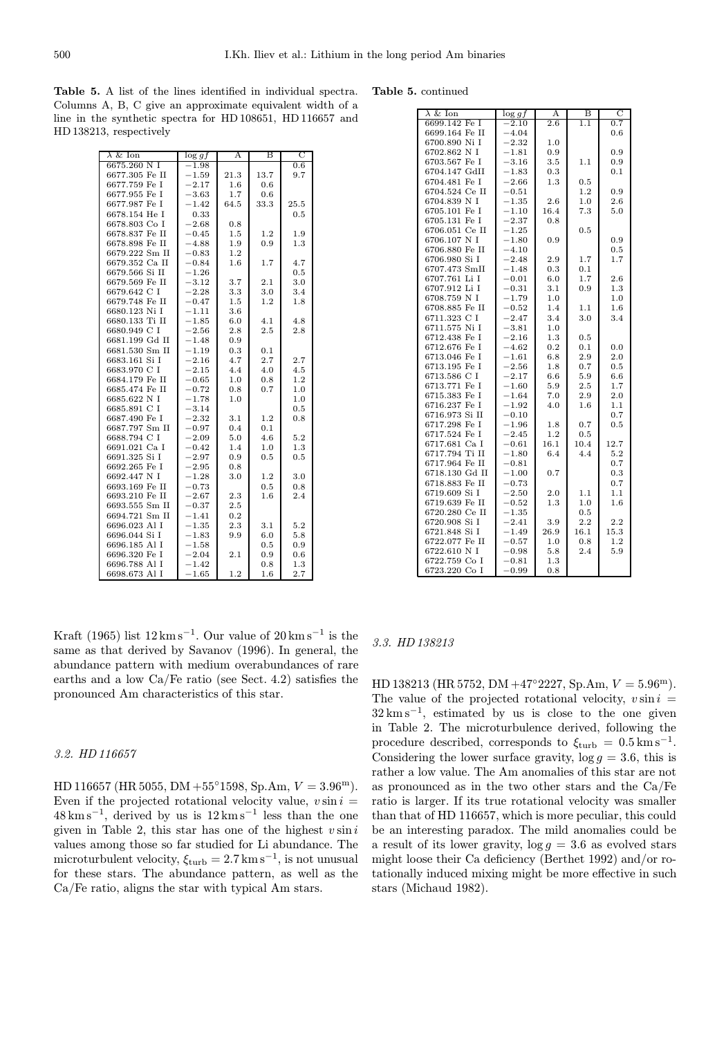Table 5. A list of the lines identified in individual spectra. Columns A, B, C give an approximate equivalent width of a line in the synthetic spectra for HD 108651, HD 116657 and HD 138213, respectively

|  | <b>Table 5.</b> continued |
|--|---------------------------|
|--|---------------------------|

| $\lambda \&$ Ion | $\log gf$ | Α       | в    | C    |
|------------------|-----------|---------|------|------|
| 6675.260 N I     | $-1.98$   |         |      | 0.6  |
| 6677.305 Fe II   | $-1.59$   | 21.3    | 13.7 | 9.7  |
| 6677.759 Fe I    | $-2.17$   | 1.6     | 0.6  |      |
| 6677.955 Fe I    | $-3.63$   | 1.7     | 0.6  |      |
| 6677.987 Fe I    | $-1.42$   | 64.5    | 33.3 | 25.5 |
| 6678.154 He I    | 0.33      |         |      | 0.5  |
| 6678.803 Co I    | $-2.68$   | 0.8     |      |      |
| 6678.837 Fe II   | $-0.45$   | 1.5     | 1.2  | 1.9  |
| 6678.898 Fe II   | $-4.88$   | 1.9     | 0.9  | 1.3  |
| 6679.222 Sm II   | $-0.83$   | 1.2     |      |      |
| 6679.352 Ca II   | $-0.84$   | $1.6\,$ | 1.7  | 4.7  |
| 6679.566 Si II   | $-1.26$   |         |      | 0.5  |
| 6679.569 Fe II   | $-3.12$   | 3.7     | 2.1  | 3.0  |
| 6679.642 C I     | $-2.28$   | 3.3     | 3.0  | 3.4  |
| 6679.748 Fe II   | $-0.47$   | 1.5     | 1.2  | 1.8  |
| 6680.123 Ni I    | $-1.11$   | 3.6     |      |      |
| 6680.133 Ti II   | $-1.85$   | 6.0     | 4.1  | 4.8  |
| 6680.949 C I     | $-2.56$   | 2.8     | 2.5  | 2.8  |
| 6681.199 Gd II   | $-1.48$   | 0.9     |      |      |
| 6681.530 Sm II   | $-1.19$   | 0.3     | 0.1  |      |
| 6683.161 Si I    | $-2.16$   | 4.7     | 2.7  | 2.7  |
| 6683.970 C I     | $-2.15$   | 4.4     | 4.0  | 4.5  |
| 6684.179 Fe II   | $-0.65$   | 1.0     | 0.8  | 1.2  |
| 6685.474 Fe II   | $-0.72$   | 0.8     | 0.7  | 1.0  |
| 6685.622 N I     | $-1.78$   | 1.0     |      | 1.0  |
| 6685.891 C I     | $-3.14$   |         |      | 0.5  |
| 6687.490 Fe I    | $-2.32$   | 3.1     | 1.2  | 0.8  |
| 6687.797 Sm II   | $-0.97$   | 0.4     | 0.1  |      |
| 6688.794 C I     | $-2.09$   | 5.0     | 4.6  | 5.2  |
| 6691.021 Ca I    | $-0.42$   | 1.4     | 1.0  | 1.3  |
| 6691.325 Si I    | $-2.97$   | 0.9     | 0.5  | 0.5  |
| 6692.265 Fe I    | $-2.95$   | 0.8     |      |      |
| 6692.447 N I     | $-1.28$   | 3.0     | 1.2  | 3.0  |
| 6693.169 Fe II   | $-0.73$   |         | 0.5  | 0.8  |
| 6693.210 Fe II   | $-2.67$   | 2.3     | 1.6  | 2.4  |
| 6693.555 Sm II   | $-0.37$   | $2.5\,$ |      |      |
| 6694.721 Sm II   | $-1.41$   | 0.2     |      |      |
| 6696.023 Al I    | $-1.35$   | 2.3     | 3.1  | 5.2  |
| 6696.044 Si I    | $-1.83$   | 9.9     | 6.0  | 5.8  |
| 6696.185 Al I    | $-1.58$   |         | 0.5  | 0.9  |
| 6696.320 Fe I    | $-2.04$   | 2.1     | 0.9  | 0.6  |
| 6696.788 Al I    | $-1.42$   |         | 0.8  | 1.3  |
| 6698.673 Al I    | $-1.65$   | 1.2     | 1.6  | 2.7  |

| $\lambda \&$ Ion | $\log gf$  | А       | в       | С       |
|------------------|------------|---------|---------|---------|
| 6699.142 Fe I    | $-2.10$    | 2.6     | 1.1     | 0.7     |
| 6699.164 Fe II   | $-4.04$    |         |         | 0.6     |
| 6700.890 Ni I    | $-2.32$    | 1.0     |         |         |
| 6702.862 N I     | $-1.81$    | 0.9     |         | 0.9     |
| 6703.567 Fe I    | $-3.16$    | 3.5     | 1.1     | 0.9     |
| 6704.147 GdII    | $^{-1.83}$ | 0.3     |         | 0.1     |
| 6704.481 Fe I    | $-2.66$    | 1.3     | 0.5     |         |
| 6704.524 Ce II   | $-0.51$    |         | $1.2\,$ | 0.9     |
| 6704.839 N I     | $-1.35$    | 2.6     | 1.0     | $2.6\,$ |
| 6705.101 Fe I    | $-1.10$    | 16.4    | 7.3     | 5.0     |
| 6705.131 Fe I    | $-2.37$    | 0.8     |         |         |
| 6706.051 Ce II   | $-1.25$    |         | 0.5     |         |
| 6706.107 N I     | $-1.80$    | 0.9     |         | 0.9     |
| 6706.880 Fe II   | $-4.10$    |         |         | 0.5     |
| 6706.980 Si I    | $-2.48$    | 2.9     | 1.7     | 1.7     |
| 6707.473 SmII    | $-1.48$    | 0.3     | 0.1     |         |
| 6707.761 Li I    | $-0.01$    | 6.0     | 1.7     | 2.6     |
| 6707.912 Li I    | $-0.31$    | 3.1     | 0.9     | 1.3     |
| 6708.759 N I     | $-1.79$    | 1.0     |         | 1.0     |
| 6708.885 Fe II   | $-0.52$    | 1.4     | 1.1     | 1.6     |
| 6711.323 C I     | $-2.47$    | 3.4     | 3.0     | 3.4     |
| 6711.575 Ni I    | $-3.81$    | 1.0     |         |         |
| 6712.438 Fe I    | $-2.16$    | 1.3     | 0.5     |         |
| 6712.676 Fe I    | $-4.62$    | 0.2     | 0.1     | 0.0     |
| 6713.046 Fe I    | $^{-1.61}$ | 6.8     | 2.9     | 2.0     |
| 6713.195 Fe I    | $-2.56$    | 1.8     | 0.7     | 0.5     |
| 6713.586 C I     | $-2.17$    | 6.6     | 5.9     | 6.6     |
| 6713.771 Fe I    | $-1.60$    | 5.9     | 2.5     | 1.7     |
| 6715.383 Fe I    | $-1.64$    | 7.0     | 2.9     | 2.0     |
| 6716.237 Fe I    | $-1.92$    | 4.0     | 1.6     | 1.1     |
| 6716.973 Si II   | $-0.10$    |         |         | 0.7     |
| 6717.298 Fe I    | $-1.96$    | 1.8     | 0.7     | 0.5     |
| 6717.524 Fe I    | $-2.45$    | 1.2     | 0.5     |         |
| 6717.681 Ca I    | $-0.61$    | 16.1    | 10.4    | 12.7    |
| 6717.794 Ti II   | $-1.80$    | 6.4     | 4.4     | 5.2     |
| 6717.964 Fe II   | $-0.81$    |         |         | 0.7     |
| 6718.130 Gd II   | $-1.00$    | 0.7     |         | 0.3     |
| 6718.883 Fe II   | $-0.73$    |         |         | 0.7     |
| 6719.609 Si I    | $-2.50$    | 2.0     | 1.1     | 1.1     |
| 6719.639 Fe II   | $-0.52$    | 1.3     | 1.0     | 1.6     |
| 6720.280 Ce II   | $-1.35$    |         | 0.5     |         |
| 6720.908 Si I    | $-2.41$    | $3.9\,$ | 2.2     | 2.2     |
| 6721.848 Si I    | $-1.49$    | 26.9    | 16.1    | 15.3    |
| 6722.077 Fe II   | $-0.57$    | 1.0     | 0.8     | 1.2     |
| 6722.610 N I     | $-0.98$    | 5.8     | 2.4     | 5.9     |
| 6722.759 Co I    | $-0.81$    | 1.3     |         |         |
| 6723.220 Co I    | $-0.99$    | 0.8     |         |         |

Kraft (1965) list  $12 \text{ km s}^{-1}$ . Our value of  $20 \text{ km s}^{-1}$  is the same as that derived by Savanov (1996). In general, the abundance pattern with medium overabundances of rare earths and a low Ca/Fe ratio (see Sect. 4.2) satisfies the pronounced Am characteristics of this star.

# 3.2. HD 116657

HD 116657 (HR 5055, DM +55°1598, Sp.Am,  $V = 3.96^{\text{m}}$ ). Even if the projected rotational velocity value,  $v \sin i =$  $48 \text{ km s}^{-1}$ , derived by us is  $12 \text{ km s}^{-1}$  less than the one given in Table 2, this star has one of the highest  $v \sin i$ values among those so far studied for Li abundance. The microturbulent velocity,  $\xi_{\text{turb}} = 2.7 \text{ km s}^{-1}$ , is not unusual for these stars. The abundance pattern, as well as the Ca/Fe ratio, aligns the star with typical Am stars.

#### 3.3. HD 138213

HD 138213 (HR 5752, DM +47°2227, Sp.Am,  $V = 5.96^{\text{m}}$ ). The value of the projected rotational velocity,  $v \sin i =$  $32 \text{ km s}^{-1}$ , estimated by us is close to the one given in Table 2. The microturbulence derived, following the procedure described, corresponds to  $\xi_{\text{turb}} = 0.5 \text{ km s}^{-1}$ . Considering the lower surface gravity,  $\log g = 3.6$ , this is rather a low value. The Am anomalies of this star are not as pronounced as in the two other stars and the Ca/Fe ratio is larger. If its true rotational velocity was smaller than that of HD 116657, which is more peculiar, this could be an interesting paradox. The mild anomalies could be a result of its lower gravity,  $\log g = 3.6$  as evolved stars might loose their Ca deficiency (Berthet 1992) and/or rotationally induced mixing might be more effective in such stars (Michaud 1982).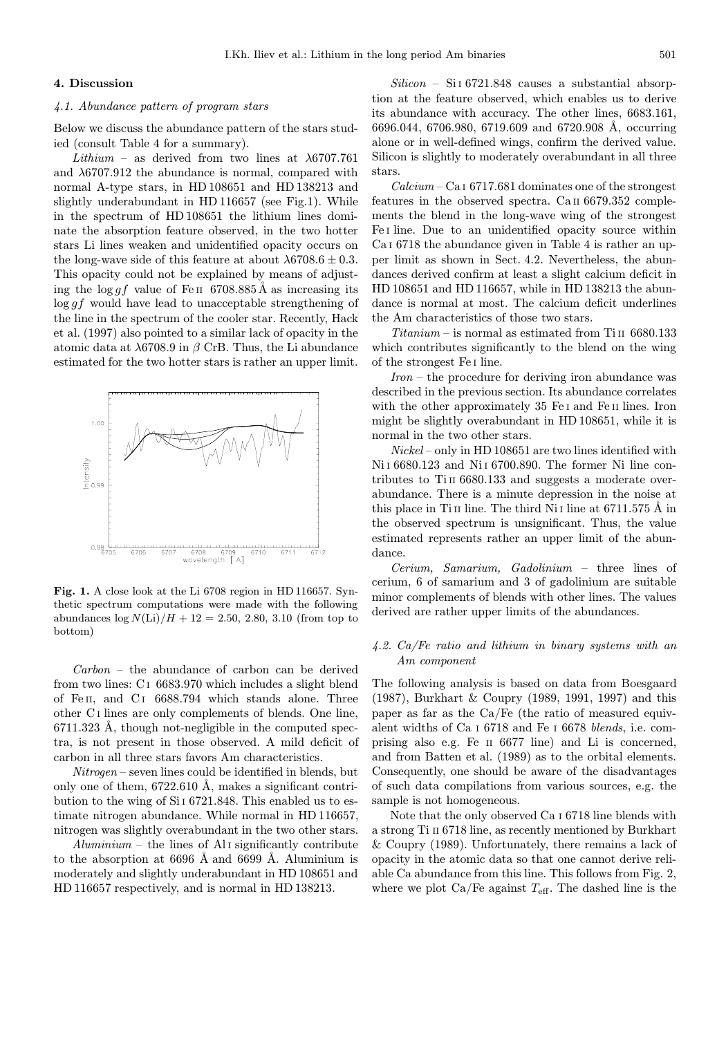## 4. Discussion

### 4.1. Abundance pattern of program stars

Below we discuss the abundance pattern of the stars studied (consult Table 4 for a summary).

Lithium – as derived from two lines at  $\lambda$ 6707.761 and  $\lambda$ 6707.912 the abundance is normal, compared with normal A-type stars, in HD 108651 and HD 138213 and slightly underabundant in HD 116657 (see Fig.1). While in the spectrum of HD 108651 the lithium lines dominate the absorption feature observed, in the two hotter stars Li lines weaken and unidentified opacity occurs on the long-wave side of this feature at about  $\lambda$ 6708.6  $\pm$  0.3. This opacity could not be explained by means of adjusting the  $\log gf$  value of Fe II 6708.885Å as increasing its log gf would have lead to unacceptable strengthening of the line in the spectrum of the cooler star. Recently, Hack et al. (1997) also pointed to a similar lack of opacity in the atomic data at λ6708.9 in β CrB. Thus, the Li abundance estimated for the two hotter stars is rather an upper limit.



Fig. 1. A close look at the Li 6708 region in HD 116657. Synthetic spectrum computations were made with the following abundances  $\log N(\text{Li})/H + 12 = 2.50, 2.80, 3.10$  (from top to bottom)

Carbon – the abundance of carbon can be derived from two lines: C <sup>I</sup> 6683.970 which includes a slight blend of Fe II, and C <sup>I</sup> 6688.794 which stands alone. Three other C <sup>I</sup> lines are only complements of blends. One line,  $6711.323$  Å, though not-negligible in the computed spectra, is not present in those observed. A mild deficit of carbon in all three stars favors Am characteristics.

Nitrogen – seven lines could be identified in blends, but only one of them,  $6722.610$  Å, makes a significant contribution to the wing of Si <sup>I</sup> 6721.848. This enabled us to estimate nitrogen abundance. While normal in HD 116657, nitrogen was slightly overabundant in the two other stars.

 $Alumiium$  – the lines of Al I significantly contribute to the absorption at  $6696$  Å and  $6699$  Å. Aluminium is moderately and slightly underabundant in HD 108651 and HD 116657 respectively, and is normal in HD 138213.

 $Silicon - SiI 6721.848$  causes a substantial absorption at the feature observed, which enables us to derive its abundance with accuracy. The other lines, 6683.161, 6696.044, 6706.980, 6719.609 and 6720.908 Å, occurring alone or in well-defined wings, confirm the derived value. Silicon is slightly to moderately overabundant in all three stars.

 $Calcium - CaI 6717.681$  dominates one of the strongest features in the observed spectra. Ca II 6679.352 complements the blend in the long-wave wing of the strongest Fe <sup>I</sup> line. Due to an unidentified opacity source within Ca <sup>I</sup> 6718 the abundance given in Table 4 is rather an upper limit as shown in Sect. 4.2. Nevertheless, the abundances derived confirm at least a slight calcium deficit in HD 108651 and HD 116657, while in HD 138213 the abundance is normal at most. The calcium deficit underlines the Am characteristics of those two stars.

 $Titanium - is normal as estimated from TiII 6680.133$ which contributes significantly to the blend on the wing of the strongest Fe <sup>I</sup> line.

Iron – the procedure for deriving iron abundance was described in the previous section. Its abundance correlates with the other approximately 35 Fe I and Fe II lines. Iron might be slightly overabundant in HD 108651, while it is normal in the two other stars.

Nickel – only in HD 108651 are two lines identified with Ni <sup>I</sup> 6680.123 and Ni <sup>I</sup> 6700.890. The former Ni line contributes to Ti<sub>II</sub> 6680.133 and suggests a moderate overabundance. There is a minute depression in the noise at this place in Ti II line. The third Ni I line at  $6711.575 \text{ Å}$  in the observed spectrum is unsignificant. Thus, the value estimated represents rather an upper limit of the abundance.

Cerium, Samarium, Gadolinium – three lines of cerium, 6 of samarium and 3 of gadolinium are suitable minor complements of blends with other lines. The values derived are rather upper limits of the abundances.

# 4.2. Ca/Fe ratio and lithium in binary systems with an Am component

The following analysis is based on data from Boesgaard (1987), Burkhart & Coupry (1989, 1991, 1997) and this paper as far as the Ca/Fe (the ratio of measured equivalent widths of Ca <sup>I</sup> 6718 and Fe <sup>I</sup> 6678 blends, i.e. comprising also e.g. Fe II 6677 line) and Li is concerned, and from Batten et al. (1989) as to the orbital elements. Consequently, one should be aware of the disadvantages of such data compilations from various sources, e.g. the sample is not homogeneous.

Note that the only observed Ca <sup>I</sup> 6718 line blends with a strong Ti II 6718 line, as recently mentioned by Burkhart & Coupry (1989). Unfortunately, there remains a lack of opacity in the atomic data so that one cannot derive reliable Ca abundance from this line. This follows from Fig. 2, where we plot  $Ca/Fe$  against  $T_{\text{eff}}$ . The dashed line is the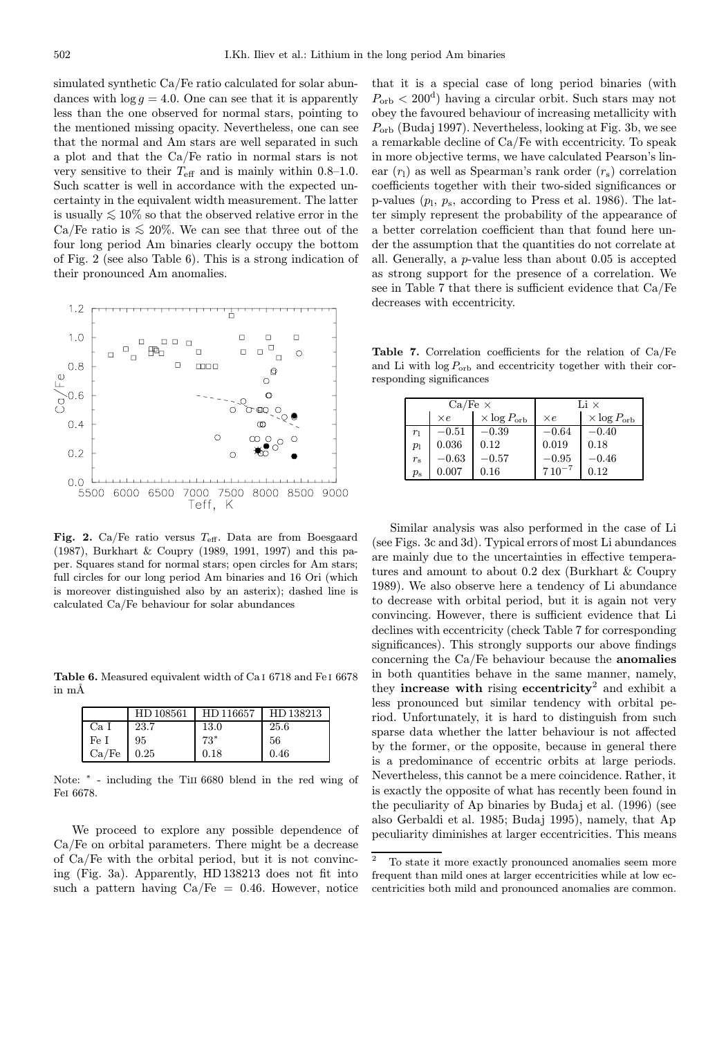simulated synthetic Ca/Fe ratio calculated for solar abundances with  $\log g = 4.0$ . One can see that it is apparently less than the one observed for normal stars, pointing to the mentioned missing opacity. Nevertheless, one can see that the normal and Am stars are well separated in such a plot and that the Ca/Fe ratio in normal stars is not very sensitive to their  $T_{\text{eff}}$  and is mainly within 0.8–1.0. Such scatter is well in accordance with the expected uncertainty in the equivalent width measurement. The latter is usually  $\leq 10\%$  so that the observed relative error in the Ca/Fe ratio is  $\leq 20\%$ . We can see that three out of the four long period Am binaries clearly occupy the bottom of Fig. 2 (see also Table 6). This is a strong indication of their pronounced Am anomalies.



Fig. 2. Ca/Fe ratio versus  $T_{\text{eff}}$ . Data are from Boesgaard (1987), Burkhart & Coupry (1989, 1991, 1997) and this paper. Squares stand for normal stars; open circles for Am stars; full circles for our long period Am binaries and 16 Ori (which is moreover distinguished also by an asterix); dashed line is calculated Ca/Fe behaviour for solar abundances

Table 6. Measured equivalent width of Ca I 6718 and Fe I 6678  $\text{in } \text{m}$ Å

|       | HD 108561 | HD 116657 | HD 138213 |
|-------|-----------|-----------|-----------|
| Ca I  | 23.7      | 13.0      | 25.6      |
| Fe I  | 95        | $73*$     | 56        |
| Ca/Fe | 0.25      | 0.18      | 0.46      |

Note:  $*$  - including the TiII 6680 blend in the red wing of FeI 6678.

We proceed to explore any possible dependence of Ca/Fe on orbital parameters. There might be a decrease of Ca/Fe with the orbital period, but it is not convincing (Fig. 3a). Apparently, HD 138213 does not fit into such a pattern having  $Ca/Fe = 0.46$ . However, notice

that it is a special case of long period binaries (with  $P_{\rm orb} < 200^{\rm d}$  having a circular orbit. Such stars may not obey the favoured behaviour of increasing metallicity with  $P_{\rm orb}$  (Budaj 1997). Nevertheless, looking at Fig. 3b, we see a remarkable decline of Ca/Fe with eccentricity. To speak in more objective terms, we have calculated Pearson's linear  $(r_1)$  as well as Spearman's rank order  $(r_s)$  correlation coefficients together with their two-sided significances or p-values  $(p_1, p_s, \text{according to Press et al. 1986}).$  The latter simply represent the probability of the appearance of a better correlation coefficient than that found here under the assumption that the quantities do not correlate at all. Generally, a p-value less than about 0.05 is accepted as strong support for the presence of a correlation. We see in Table 7 that there is sufficient evidence that Ca/Fe decreases with eccentricity.

Table 7. Correlation coefficients for the relation of Ca/Fe and Li with  $\log P_{\rm orb}$  and eccentricity together with their corresponding significances

|             | $Ca/Fe \times$ |                            | Li $\times$ |                            |
|-------------|----------------|----------------------------|-------------|----------------------------|
|             | $\times e$     | $\times$ log $P_{\rm orb}$ | $\times e$  | $\times$ log $P_{\rm orb}$ |
| $r_1$       | $-0.51$        | $-0.39$                    | $-0.64$     | $-0.40$                    |
| $p_1$       | 0.036          | 0.12                       | 0.019       | 0.18                       |
| $r_{\rm s}$ | $-0.63$        | $-0.57$                    | $-0.95$     | $-0.46$                    |
| $p_{\rm s}$ | 0.007          | 0.16                       | $710^{-7}$  | 0.12                       |

Similar analysis was also performed in the case of Li (see Figs. 3c and 3d). Typical errors of most Li abundances are mainly due to the uncertainties in effective temperatures and amount to about 0.2 dex (Burkhart & Coupry 1989). We also observe here a tendency of Li abundance to decrease with orbital period, but it is again not very convincing. However, there is sufficient evidence that Li declines with eccentricity (check Table 7 for corresponding significances). This strongly supports our above findings concerning the Ca/Fe behaviour because the anomalies in both quantities behave in the same manner, namely, they increase with rising eccentricity<sup>2</sup> and exhibit a less pronounced but similar tendency with orbital period. Unfortunately, it is hard to distinguish from such sparse data whether the latter behaviour is not affected by the former, or the opposite, because in general there is a predominance of eccentric orbits at large periods. Nevertheless, this cannot be a mere coincidence. Rather, it is exactly the opposite of what has recently been found in the peculiarity of Ap binaries by Budaj et al. (1996) (see also Gerbaldi et al. 1985; Budaj 1995), namely, that Ap peculiarity diminishes at larger eccentricities. This means

 $^{\rm 2}$   $\,$  To state it more exactly pronounced anomalies seem more frequent than mild ones at larger eccentricities while at low eccentricities both mild and pronounced anomalies are common.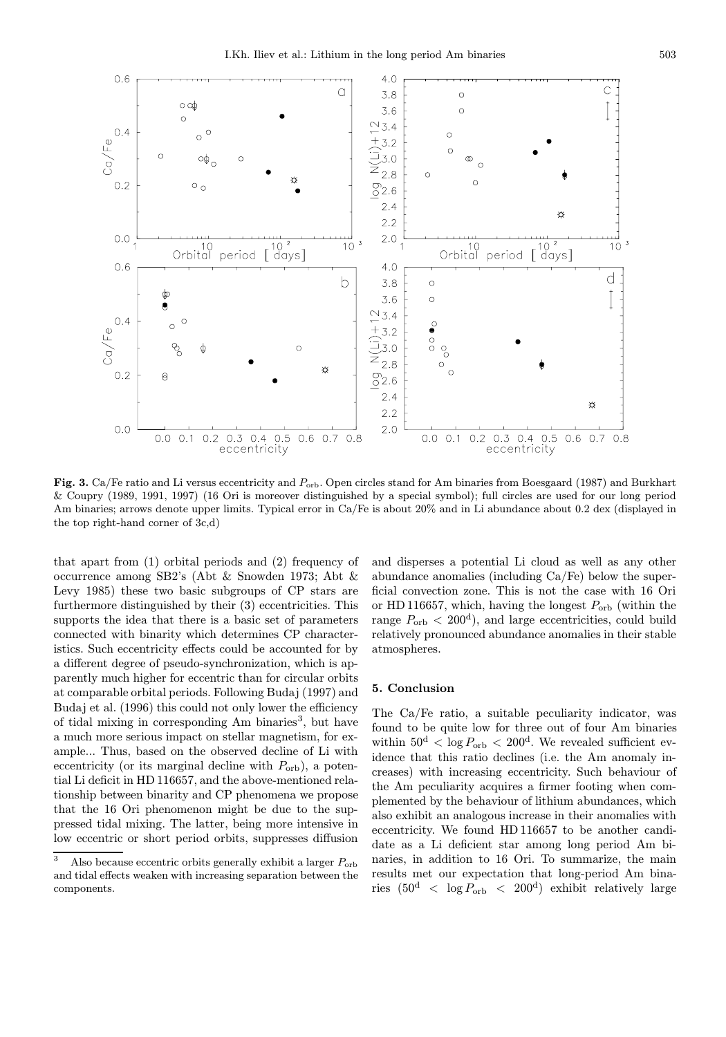

Fig. 3. Ca/Fe ratio and Li versus eccentricity and  $P_{\rm orb}$ . Open circles stand for Am binaries from Boesgaard (1987) and Burkhart & Coupry (1989, 1991, 1997) (16 Ori is moreover distinguished by a special symbol); full circles are used for our long period Am binaries; arrows denote upper limits. Typical error in Ca/Fe is about 20% and in Li abundance about 0.2 dex (displayed in the top right-hand corner of 3c,d)

that apart from (1) orbital periods and (2) frequency of occurrence among SB2's (Abt & Snowden 1973; Abt & Levy 1985) these two basic subgroups of CP stars are furthermore distinguished by their (3) eccentricities. This supports the idea that there is a basic set of parameters connected with binarity which determines CP characteristics. Such eccentricity effects could be accounted for by a different degree of pseudo-synchronization, which is apparently much higher for eccentric than for circular orbits at comparable orbital periods. Following Budaj (1997) and Budaj et al. (1996) this could not only lower the efficiency of tidal mixing in corresponding Am binaries<sup>3</sup>, but have a much more serious impact on stellar magnetism, for example... Thus, based on the observed decline of Li with eccentricity (or its marginal decline with  $P_{\text{orb}}$ ), a potential Li deficit in HD 116657, and the above-mentioned relationship between binarity and CP phenomena we propose that the 16 Ori phenomenon might be due to the suppressed tidal mixing. The latter, being more intensive in low eccentric or short period orbits, suppresses diffusion

and disperses a potential Li cloud as well as any other abundance anomalies (including Ca/Fe) below the superficial convection zone. This is not the case with 16 Ori or HD 116657, which, having the longest  $P_{\text{orb}}$  (within the range  $P_{\rm orb} < 200^{\rm d}$ , and large eccentricities, could build relatively pronounced abundance anomalies in their stable atmospheres.

# 5. Conclusion

The Ca/Fe ratio, a suitable peculiarity indicator, was found to be quite low for three out of four Am binaries within  $50^d < \log P_{\rm orb} < 200^d$ . We revealed sufficient evidence that this ratio declines (i.e. the Am anomaly increases) with increasing eccentricity. Such behaviour of the Am peculiarity acquires a firmer footing when complemented by the behaviour of lithium abundances, which also exhibit an analogous increase in their anomalies with eccentricity. We found HD 116657 to be another candidate as a Li deficient star among long period Am binaries, in addition to 16 Ori. To summarize, the main results met our expectation that long-period Am binaries  $(50^d \, < \, \log P_{\rm orb} \, < \, 200^d)$  exhibit relatively large

<sup>&</sup>lt;sup>3</sup> Also because eccentric orbits generally exhibit a larger  $P_{\text{orb}}$ and tidal effects weaken with increasing separation between the components.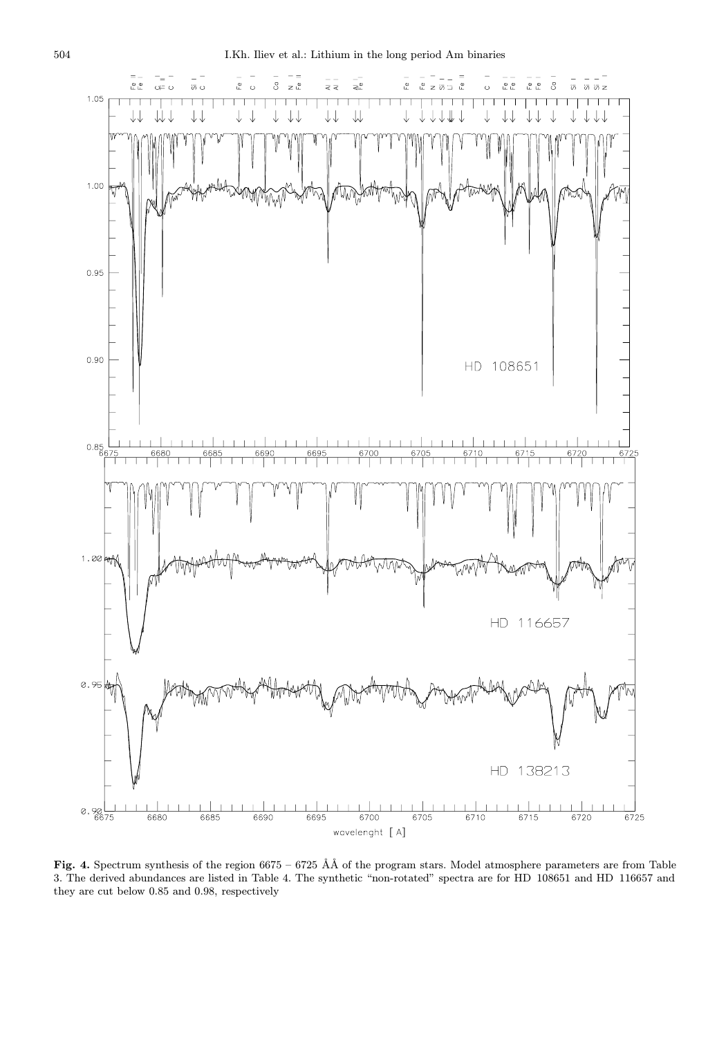

Fig. 4. Spectrum synthesis of the region  $6675 - 6725$  ÅÅ of the program stars. Model atmosphere parameters are from Table 3. The derived abundances are listed in Table 4. The synthetic "non-rotated" spectra are for HD 108651 and HD 116657 and they are cut below 0.85 and 0.98, respectively